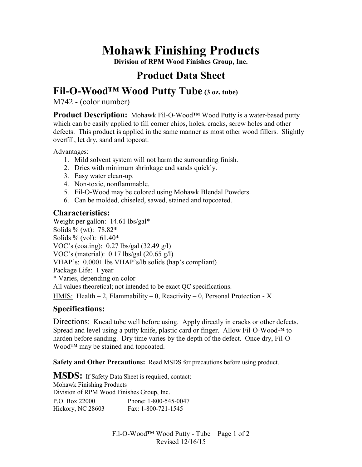# **Mohawk Finishing Products**

**Division of RPM Wood Finishes Group, Inc.** 

## **Product Data Sheet**

## **Fil-O-Wood™ Wood Putty Tube (3 oz. tube)**

M742 - (color number)

**Product Description:** Mohawk Fil-O-Wood™ Wood Putty is a water-based putty which can be easily applied to fill corner chips, holes, cracks, screw holes and other defects. This product is applied in the same manner as most other wood fillers. Slightly overfill, let dry, sand and topcoat.

Advantages:

- 1. Mild solvent system will not harm the surrounding finish.
- 2. Dries with minimum shrinkage and sands quickly.
- 3. Easy water clean-up.
- 4. Non-toxic, nonflammable.
- 5. Fil-O-Wood may be colored using Mohawk Blendal Powders.
- 6. Can be molded, chiseled, sawed, stained and topcoated.

#### **Characteristics:**

Weight per gallon: 14.61 lbs/gal\* Solids % (wt): 78.82\* Solids % (vol): 61.40\* VOC's (coating): 0.27 lbs/gal (32.49 g/l) VOC's (material): 0.17 lbs/gal (20.65 g/l) VHAP's: 0.0001 lbs VHAP's/lb solids (hap's compliant) Package Life: 1 year \* Varies, depending on color All values theoretical; not intended to be exact QC specifications. HMIS: Health  $-2$ , Flammability  $-0$ , Reactivity  $-0$ , Personal Protection - X

### **Specifications:**

Directions: Knead tube well before using. Apply directly in cracks or other defects. Spread and level using a putty knife, plastic card or finger. Allow Fil-O-Wood™ to harden before sanding. Dry time varies by the depth of the defect. Once dry, Fil-O-Wood™ may be stained and topcoated.

**Safety and Other Precautions:** Read MSDS for precautions before using product.

**MSDS:** If Safety Data Sheet is required, contact: Mohawk Finishing Products Division of RPM Wood Finishes Group, Inc.

P.O. Box 22000 Phone: 1-800-545-0047 Hickory, NC 28603 Fax: 1-800-721-1545

> Fil-O-Wood™ Wood Putty - Tube Page 1 of 2 Revised 12/16/15